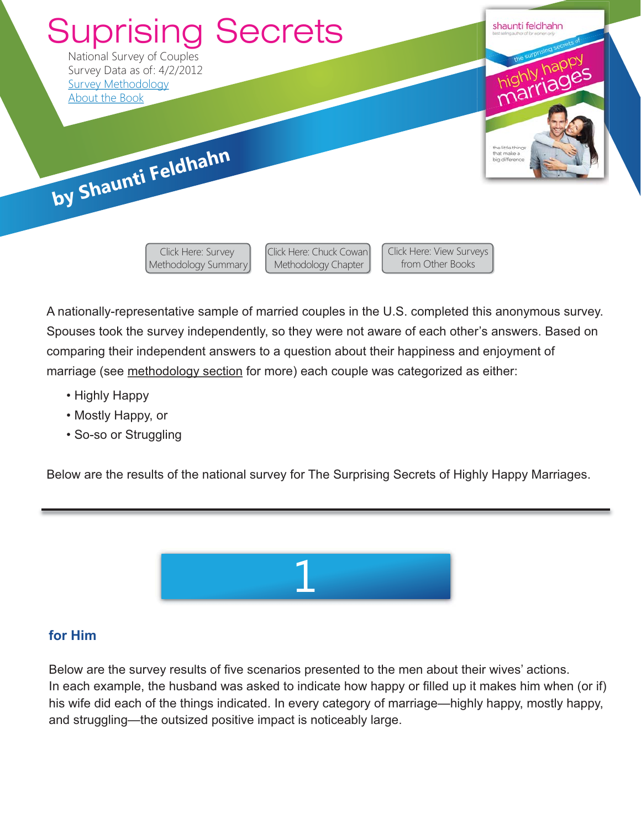

A nationally-representative sample of married couples in the U.S. completed this anonymous survey. Spouses took the survey independently, so they were not aware of each other's answers. Based on comparing their independent answers to a question about their happiness and enjoyment of marriage (see [methodology section](https://shaunti.com/research/research-methodology-surprising-secrets-highly-happy-marriages/) for more) each couple was categorized as either:

Methodology Chapter

from Other Books

- Highly Happy
- Mostly Happy, or
- So-so or Struggling

[Methodology Summary](https://shaunti.com/research/research-methodology-surprising-secrets-highly-happy-marriages/)

Below are the results of the national survey for The Surprising Secrets of Highly Happy Marriages.



#### **for Him**

Below are the survey results of five scenarios presented to the men about their wives' actions. In each example, the husband was asked to indicate how happy or filled up it makes him when (or if) his wife did each of the things indicated. In every category of marriage—highly happy, mostly happy, and struggling—the outsized positive impact is noticeably large.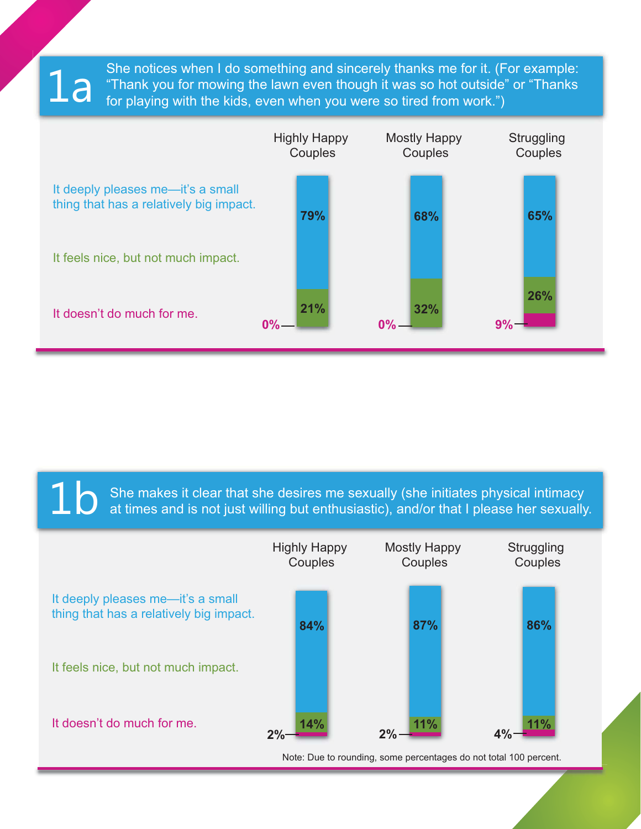She notices when I do something and sincerely thanks me for it. (For example: "Thank you for mowing the lawn even though it was so hot outside" or "Thanks for playing with the kids, even when you were so tired from work.")

1a



 $\sum$  She makes it clear that she desires me sexually (she initiates physical intimacy at times and is not just willing but enthusiastic), and/or that I please her sexually.

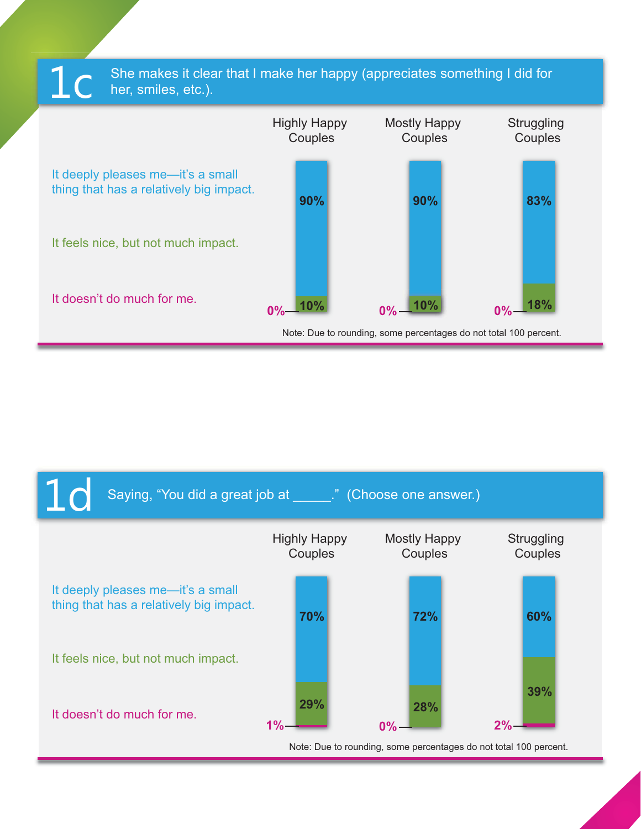

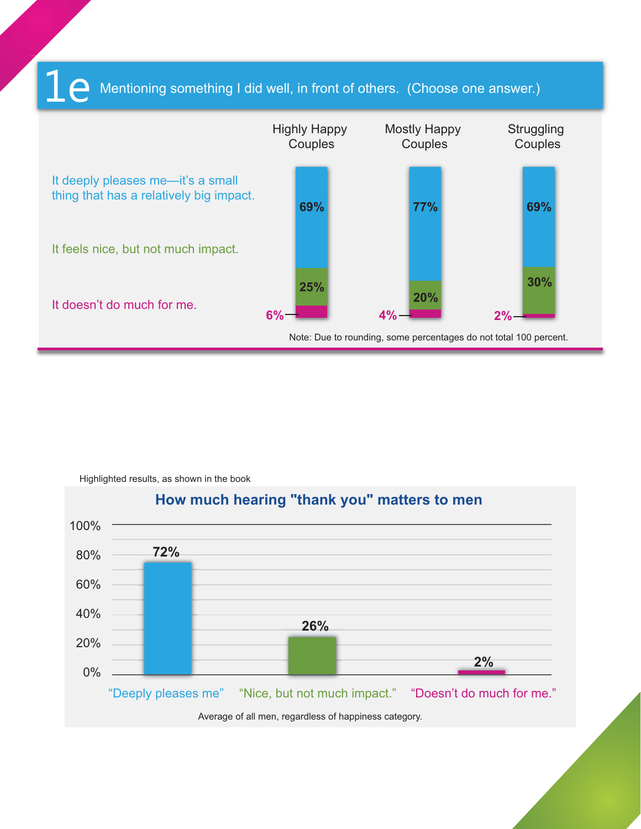#### Mentioning something I did well, in front of others. (Choose one answer.) 1e



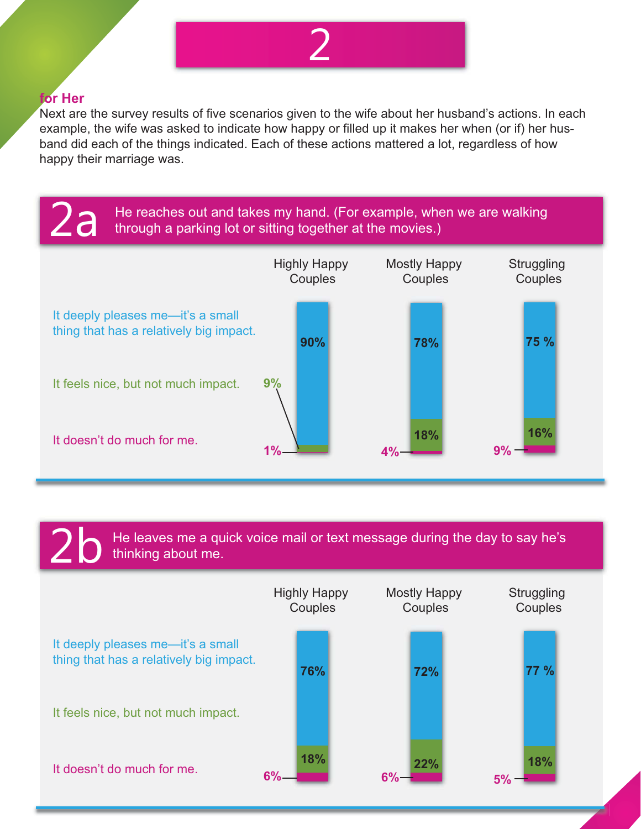

#### **for Her**

Next are the survey results of five scenarios given to the wife about her husband's actions. In each example, the wife was asked to indicate how happy or filled up it makes her when (or if) her husband did each of the things indicated. Each of these actions mattered a lot, regardless of how happy their marriage was.



He leaves me a quick voice mail or text message during the day to say he's thinking about me.

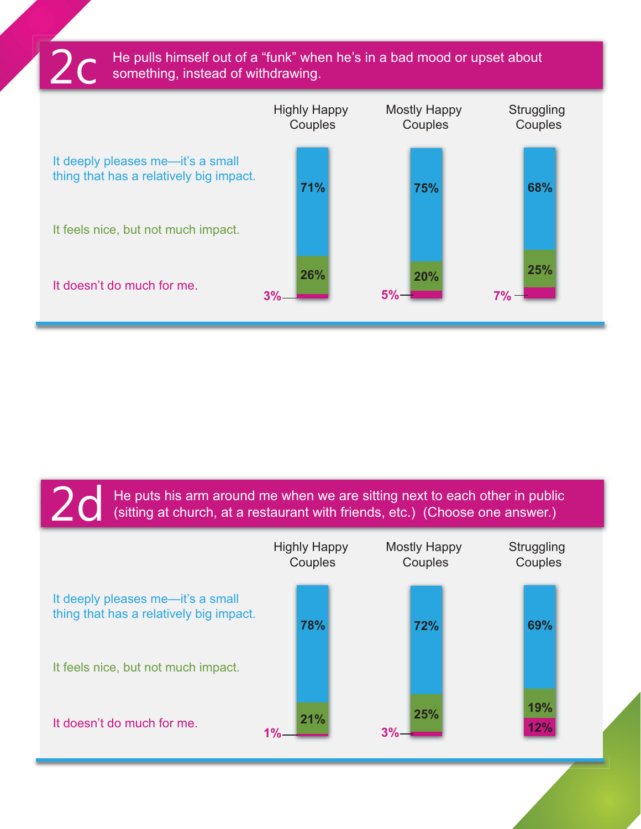$2c$  He pulls himself out of a "funk" when he's in a bad mood or upset about something, instead of withdrawing.



He puts his arm around me when we are sitting next to each other in public (sitting at church, at a restaurant with friends, etc.) (Choose one answer.)

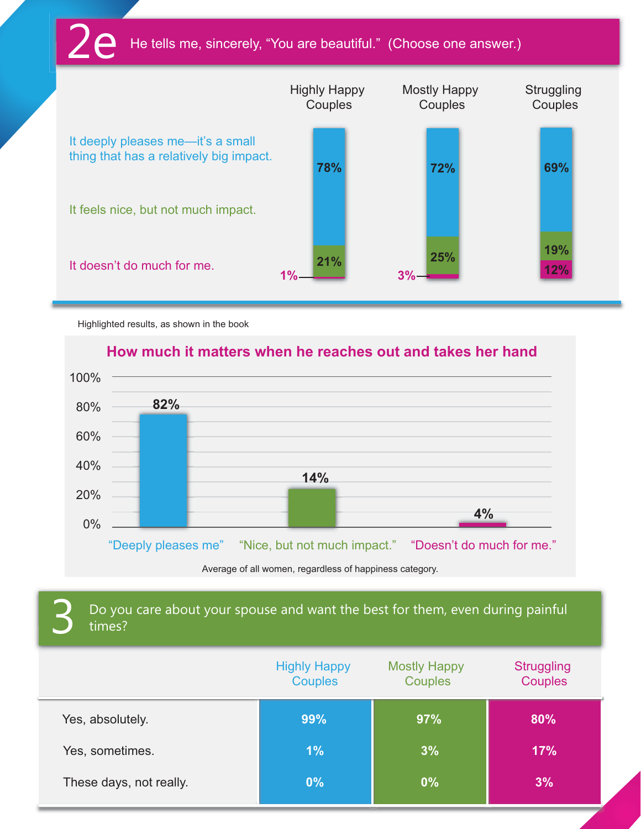### He tells me, sincerely, "You are beautiful." (Choose one answer.)



Highlighted results, as shown in the book

### **How much it matters when he reaches out and takes her hand**



Average of all women, regardless of happiness category.

### Do you care about your spouse and want the best for them, even during painful times?

|                         | <b>Highly Happy</b><br><b>Couples</b> | <b>Mostly Happy</b><br><b>Couples</b> | <b>Struggling</b><br><b>Couples</b> |
|-------------------------|---------------------------------------|---------------------------------------|-------------------------------------|
| Yes, absolutely.        | 99%                                   | 97%                                   | 80%                                 |
| Yes, sometimes.         | 1%                                    | 3%                                    | <b>17%</b>                          |
| These days, not really. | 0%                                    | 0%                                    | 3%                                  |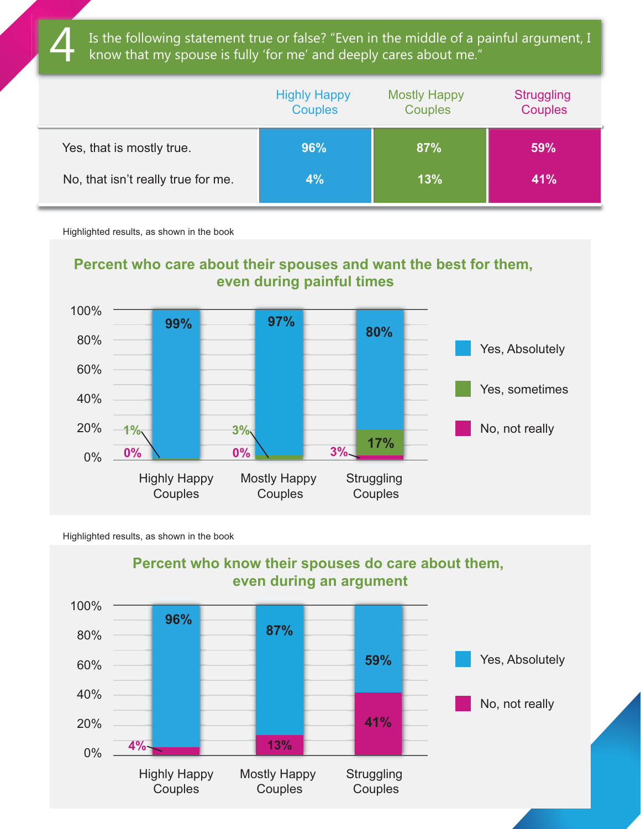Is the following statement true or false? "Even in the middle of a painful argument, I know that my spouse is fully 'for me' and deeply cares about me."

|                                    | <b>Highly Happy</b><br><b>Couples</b> | <b>Mostly Happy</b><br><b>Couples</b> | <b>Struggling</b><br><b>Couples</b> |
|------------------------------------|---------------------------------------|---------------------------------------|-------------------------------------|
| Yes, that is mostly true.          | 96%                                   | 87%                                   | 59%                                 |
| No, that isn't really true for me. | 4%                                    | 13%                                   | 41%                                 |

Highlighted results, as shown in the book





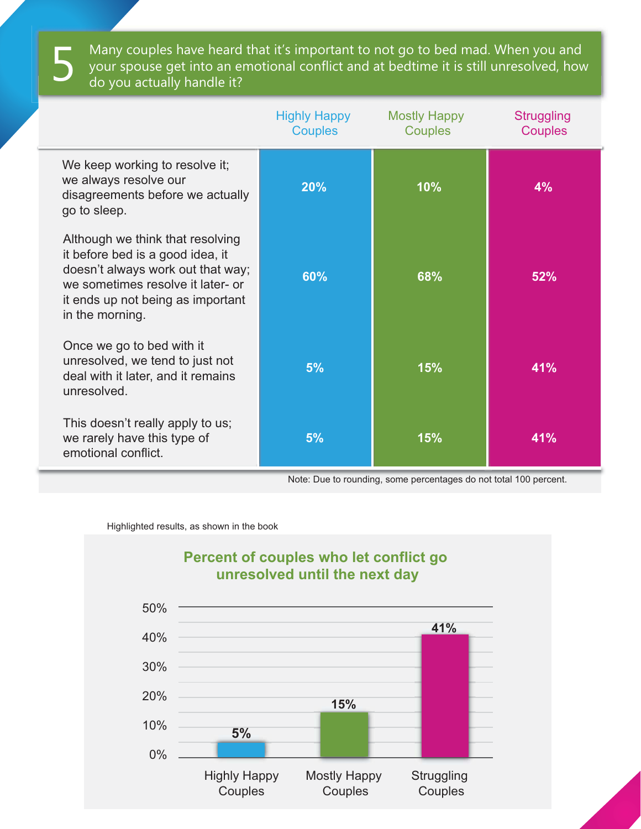Many couples have heard that it's important to not go to bed mad. When you and your spouse get into an emotional conflict and at bedtime it is still unresolved, how<br>do you actually handle it?

|                                                                                                                                                                                                        | <b>Highly Happy</b><br><b>Couples</b> | Mostly Happy<br><b>Couples</b> | <b>Struggling</b><br><b>Couples</b> |
|--------------------------------------------------------------------------------------------------------------------------------------------------------------------------------------------------------|---------------------------------------|--------------------------------|-------------------------------------|
| We keep working to resolve it;<br>we always resolve our<br>disagreements before we actually<br>go to sleep.                                                                                            | 20%                                   | 10%                            | 4%                                  |
| Although we think that resolving<br>it before bed is a good idea, it<br>doesn't always work out that way;<br>we sometimes resolve it later- or<br>it ends up not being as important<br>in the morning. | 60%                                   | 68%                            | 52%                                 |
| Once we go to bed with it<br>unresolved, we tend to just not<br>deal with it later, and it remains<br>unresolved.                                                                                      | 5%                                    | 15%                            | 41%                                 |
| This doesn't really apply to us;<br>we rarely have this type of<br>emotional conflict.                                                                                                                 | 5%                                    | 15%                            | 41%                                 |

Note: Due to rounding, some percentages do not total 100 percent.

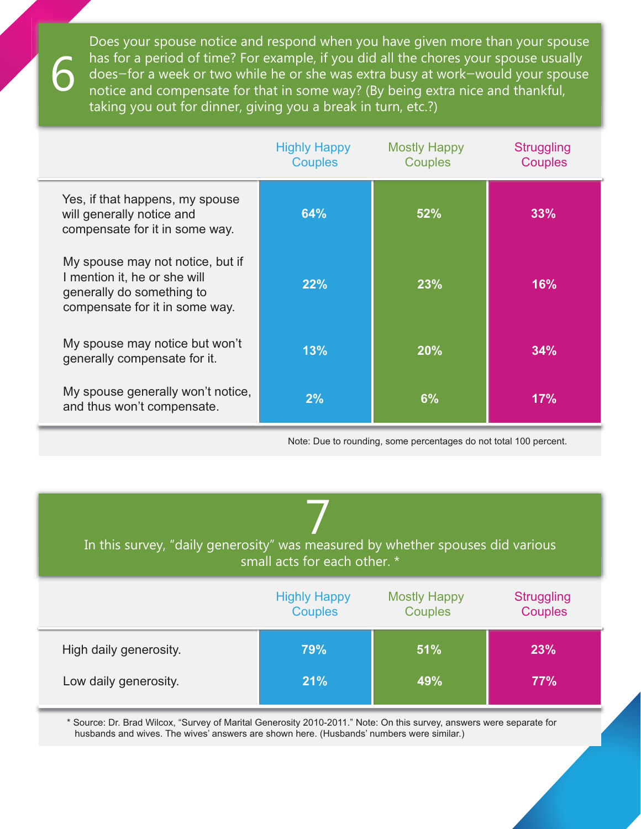Does your spouse notice and respond when you have given more than your spouse has for a period of time? For example, if you did all the chores your spouse usually does—for a week or two while he or she was extra busy at work—would your spouse notice and compensate for that in some way? (By being extra nice and thankful, taking you out for dinner, giving you a break in turn, etc.?)

6

|                                                                                                                                 | <b>Highly Happy</b><br><b>Couples</b> | <b>Mostly Happy</b><br><b>Couples</b> | <b>Struggling</b><br><b>Couples</b> |
|---------------------------------------------------------------------------------------------------------------------------------|---------------------------------------|---------------------------------------|-------------------------------------|
| Yes, if that happens, my spouse<br>will generally notice and<br>compensate for it in some way.                                  | 64%                                   | 52%                                   | 33%                                 |
| My spouse may not notice, but if<br>I mention it, he or she will<br>generally do something to<br>compensate for it in some way. | 22%                                   | 23%                                   | 16%                                 |
| My spouse may notice but won't<br>generally compensate for it.                                                                  | 13%                                   | 20%                                   | 34%                                 |
| My spouse generally won't notice,<br>and thus won't compensate.                                                                 | 2%                                    | 6%                                    | 17%                                 |

Note: Due to rounding, some percentages do not total 100 percent.

| In this survey, "daily generosity" was measured by whether spouses did various<br>small acts for each other. * |                     |                     |                   |
|----------------------------------------------------------------------------------------------------------------|---------------------|---------------------|-------------------|
|                                                                                                                | <b>Highly Happy</b> | <b>Mostly Happy</b> | <b>Struggling</b> |
|                                                                                                                | <b>Couples</b>      | Couples             | Couples           |
| High daily generosity.                                                                                         | 79%                 | 51%                 | 23%               |
| Low daily generosity.                                                                                          | 21%                 | 49%                 | 77%               |

\* Source: Dr. Brad Wilcox, "Survey of Marital Generosity 2010-2011." Note: On this survey, answers were separate for husbands and wives. The wives' answers are shown here. (Husbands' numbers were similar.)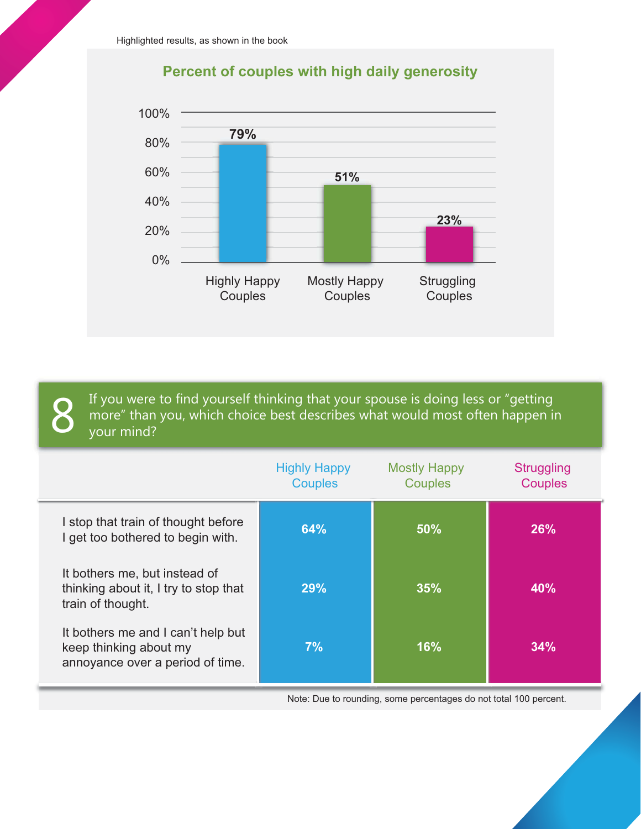



If you were to find yourself thinking that your spouse is doing less or "getting more" than you, which choice best describes what would most often happen in your mind?

|                                                                                                  | <b>Highly Happy</b><br><b>Couples</b> | <b>Mostly Happy</b><br><b>Couples</b> | <b>Struggling</b><br><b>Couples</b> |
|--------------------------------------------------------------------------------------------------|---------------------------------------|---------------------------------------|-------------------------------------|
| I stop that train of thought before<br>I get too bothered to begin with.                         | 64%                                   | 50%                                   | 26%                                 |
| It bothers me, but instead of<br>thinking about it, I try to stop that<br>train of thought.      | 29%                                   | 35%                                   | 40%                                 |
| It bothers me and I can't help but<br>keep thinking about my<br>annoyance over a period of time. | 7%                                    | <b>16%</b>                            | 34%                                 |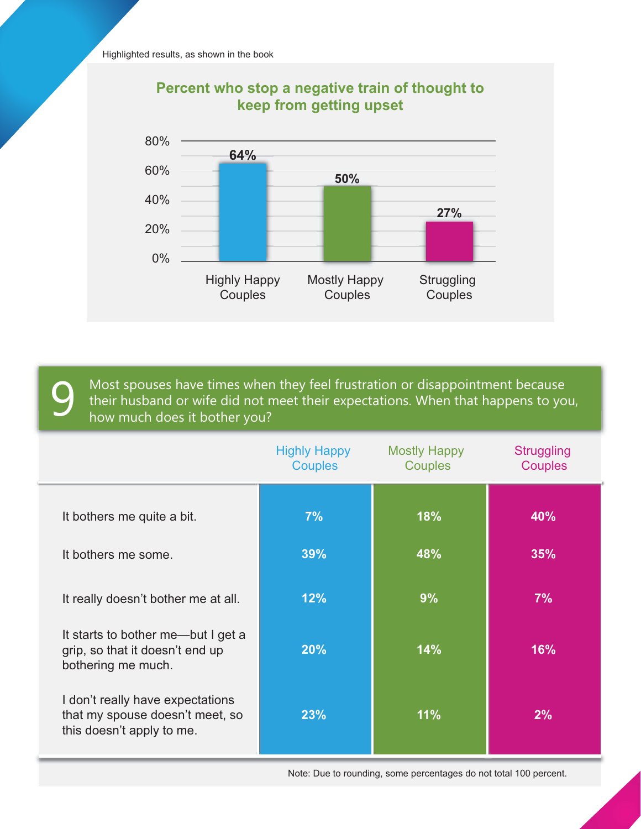

### **Percent who stop a negative train of thought to keep from getting upset**

Most spouses have times when they feel frustration or disappointment because their husband or wife did not meet their expectations. When that happens to you, how much does it bother you?

|                                                                                                  | <b>Highly Happy</b><br><b>Couples</b> | Mostly Happy<br><b>Couples</b> | <b>Struggling</b><br><b>Couples</b> |
|--------------------------------------------------------------------------------------------------|---------------------------------------|--------------------------------|-------------------------------------|
| It bothers me quite a bit.                                                                       | 7%                                    | 18%                            | 40%                                 |
| It bothers me some.                                                                              | 39%                                   | 48%                            | 35%                                 |
| It really doesn't bother me at all.                                                              | 12%                                   | 9%                             | 7%                                  |
| It starts to bother me—but I get a<br>grip, so that it doesn't end up<br>bothering me much.      | 20%                                   | 14%                            | 16%                                 |
| I don't really have expectations<br>that my spouse doesn't meet, so<br>this doesn't apply to me. | 23%                                   | 11%                            | 2%                                  |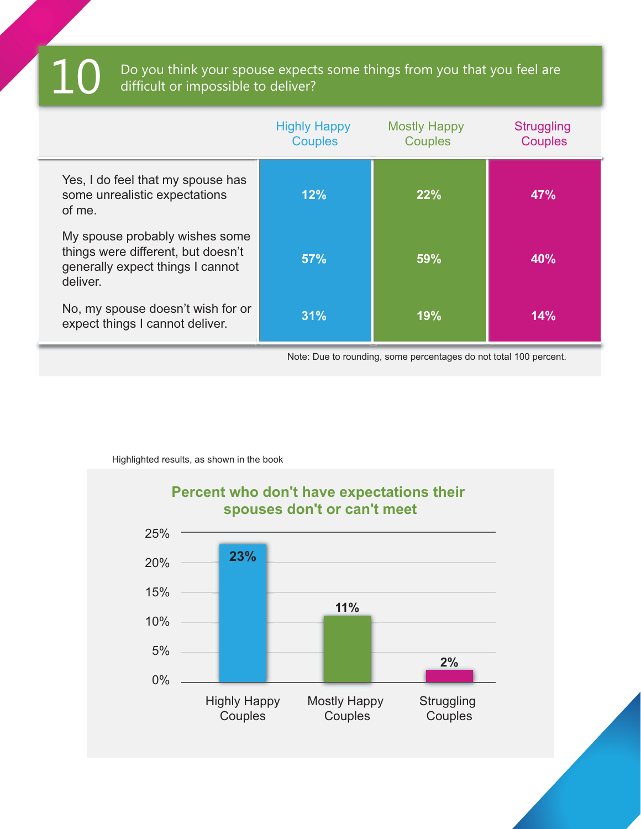### Do you think your spouse expects some things from you that you feel are difficult or impossible to deliver?

| 12% | 22% | 47%                                                             |
|-----|-----|-----------------------------------------------------------------|
| 57% | 59% | 40%                                                             |
| 31% | 19% | 14%                                                             |
|     |     | Neta: Due te reunding come noreontogee de net total 100 noreont |

Note: Due to rounding, some percentages do not total 100 percent.

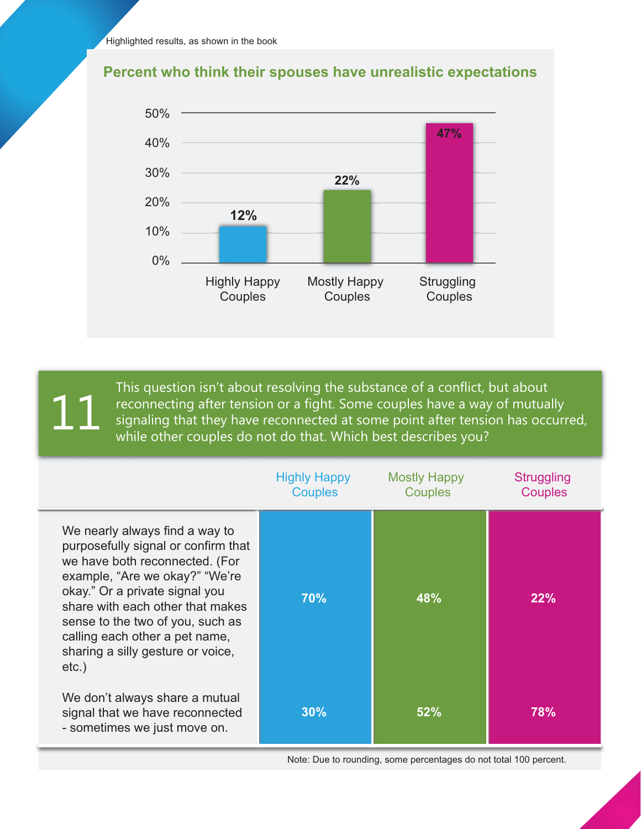



This question isn't about resolving the substance of a conflict, but about reconnecting after tension or a fight. Some couples have a way of mutually signaling after tension or a fight. Some couples have a way of mutually reconnecting after tension has occurred, 111 while other couples do not do that. Which best describes you?

|                                                                                                                                                                                                                                                                                                                                        | <b>Highly Happy</b><br><b>Couples</b> | <b>Mostly Happy</b><br><b>Couples</b> | <b>Struggling</b><br><b>Couples</b> |
|----------------------------------------------------------------------------------------------------------------------------------------------------------------------------------------------------------------------------------------------------------------------------------------------------------------------------------------|---------------------------------------|---------------------------------------|-------------------------------------|
| We nearly always find a way to<br>purposefully signal or confirm that<br>we have both reconnected. (For<br>example, "Are we okay?" "We're<br>okay." Or a private signal you<br>share with each other that makes<br>sense to the two of you, such as<br>calling each other a pet name,<br>sharing a silly gesture or voice,<br>$etc.$ ) | 70%                                   | 48%                                   | 22%                                 |
| We don't always share a mutual<br>signal that we have reconnected<br>- sometimes we just move on.                                                                                                                                                                                                                                      | 30%                                   | 52%                                   | 78%                                 |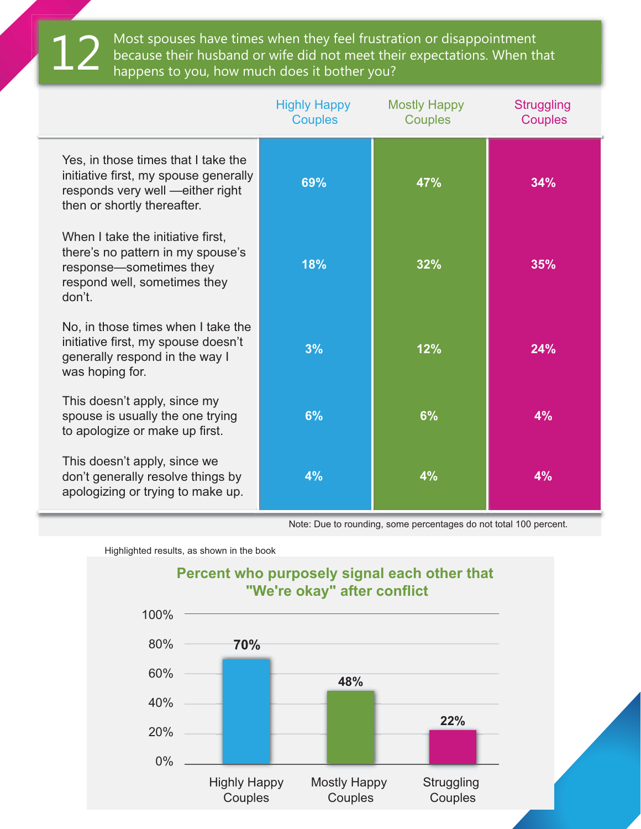Most spouses have times when they feel frustration or disappointment because their husband or wife did not meet their expectations. When that happens to you, how much does it bother you?

|                                                                                                                                                 | <b>Highly Happy</b><br><b>Couples</b> | <b>Mostly Happy</b><br><b>Couples</b> | <b>Struggling</b><br><b>Couples</b> |
|-------------------------------------------------------------------------------------------------------------------------------------------------|---------------------------------------|---------------------------------------|-------------------------------------|
| Yes, in those times that I take the<br>initiative first, my spouse generally<br>responds very well -either right<br>then or shortly thereafter. | 69%                                   | 47%                                   | 34%                                 |
| When I take the initiative first,<br>there's no pattern in my spouse's<br>response-sometimes they<br>respond well, sometimes they<br>don't.     | 18%                                   | 32%                                   | 35%                                 |
| No, in those times when I take the<br>initiative first, my spouse doesn't<br>generally respond in the way I<br>was hoping for.                  | 3%                                    | 12%                                   | 24%                                 |
| This doesn't apply, since my<br>spouse is usually the one trying<br>to apologize or make up first.                                              | 6%                                    | 6%                                    | 4%                                  |
| This doesn't apply, since we<br>don't generally resolve things by<br>apologizing or trying to make up.                                          | 4%                                    | 4%                                    | 4%                                  |

Note: Due to rounding, some percentages do not total 100 percent.

Highlighted results, as shown in the book



## **Percent who purposely signal each other that**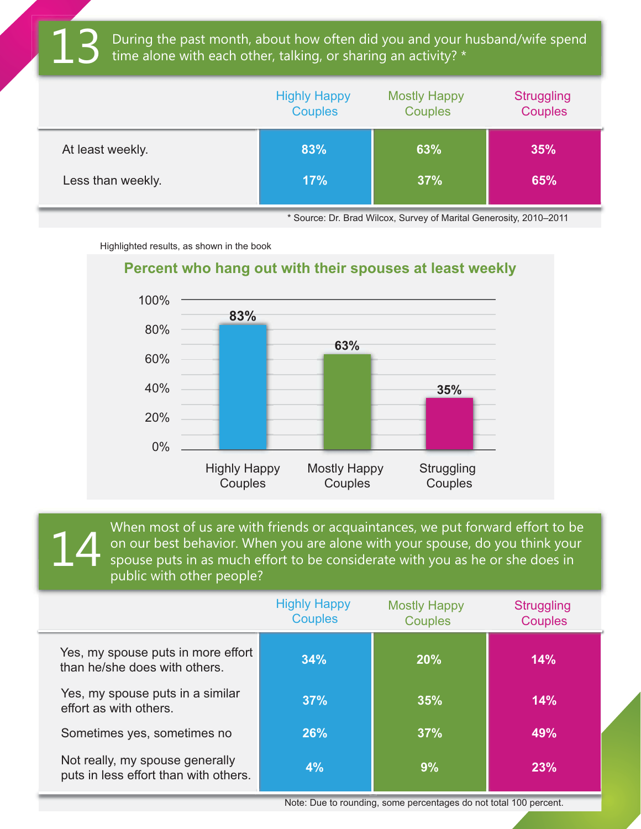During the past month, about how often did you and your husband/wife spend time alone with each other, talking, or sharing an activity? \*

|                   | <b>Highly Happy</b> | <b>Mostly Happy</b> | <b>Struggling</b> |
|-------------------|---------------------|---------------------|-------------------|
|                   | <b>Couples</b>      | <b>Couples</b>      | <b>Couples</b>    |
| At least weekly.  | 83%                 | 63%                 | 35%               |
| Less than weekly. | 17%                 | 37%                 | 65%               |

\* Source: Dr. Brad Wilcox, Survey of Marital Generosity, 2010–2011

Highlighted results, as shown in the book



When most of us are with friends or acquaintances, we put forward effort to be on our best behavior. When you are alone with your spouse, do you think your spouse puts in as much effort to be considerate with you as he or she does in public with other people? 14

|                                                                          | <b>Highly Happy</b><br><b>Couples</b> | <b>Mostly Happy</b><br><b>Couples</b> | <b>Struggling</b><br><b>Couples</b> |
|--------------------------------------------------------------------------|---------------------------------------|---------------------------------------|-------------------------------------|
| Yes, my spouse puts in more effort<br>than he/she does with others.      | 34%                                   | 20%                                   | 14%                                 |
| Yes, my spouse puts in a similar<br>effort as with others.               | 37%                                   | 35%                                   | 14%                                 |
| Sometimes yes, sometimes no                                              | 26%                                   | 37%                                   | 49%                                 |
| Not really, my spouse generally<br>puts in less effort than with others. | 4%                                    | 9%                                    | 23%                                 |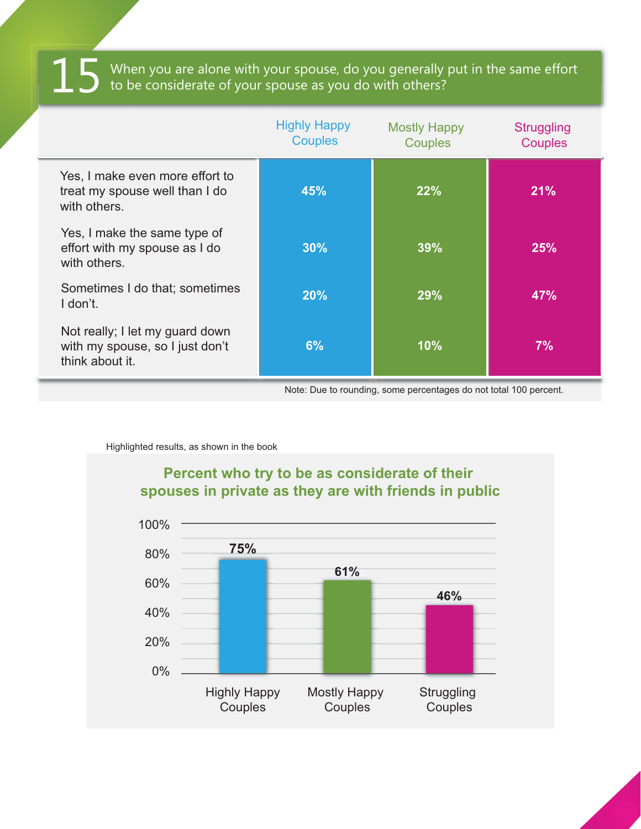$15$  When you are alone with your spouse, do you generally put in the same effort to be considerate of your spouse as you do with others?

|                                                                                       | <b>Highly Happy</b><br><b>Couples</b> | <b>Mostly Happy</b><br><b>Couples</b> | <b>Struggling</b><br><b>Couples</b> |
|---------------------------------------------------------------------------------------|---------------------------------------|---------------------------------------|-------------------------------------|
| Yes, I make even more effort to<br>treat my spouse well than I do<br>with others.     | 45%                                   | 22%                                   | 21%                                 |
| Yes, I make the same type of<br>effort with my spouse as I do<br>with others.         | 30%                                   | 39%                                   | 25%                                 |
| Sometimes I do that; sometimes<br>I don't.                                            | 20%                                   | 29%                                   | <b>47%</b>                          |
| Not really; I let my guard down<br>with my spouse, so I just don't<br>think about it. | 6%                                    | 10%                                   | 7%                                  |

Note: Due to rounding, some percentages do not total 100 percent.

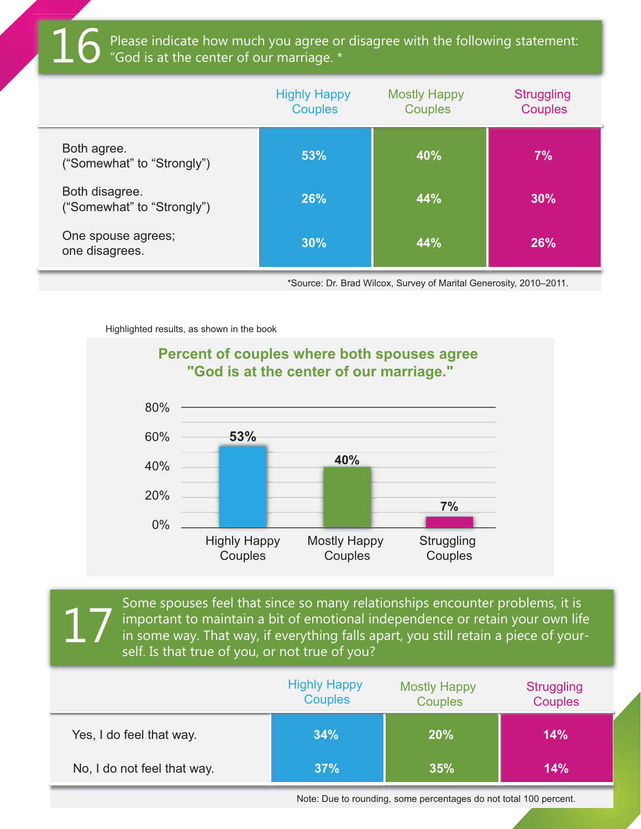Please indicate how much you agree or disagree with the following statement:<br>"God is at the center of our marriage. \*

|                                              | <b>Highly Happy</b><br><b>Couples</b> | <b>Mostly Happy</b><br><b>Couples</b> | <b>Struggling</b><br><b>Couples</b> |
|----------------------------------------------|---------------------------------------|---------------------------------------|-------------------------------------|
| Both agree.<br>("Somewhat" to "Strongly")    | 53%                                   | 40%                                   | 7%                                  |
| Both disagree.<br>("Somewhat" to "Strongly") | 26%                                   | 44%                                   | 30%                                 |
| One spouse agrees;<br>one disagrees.         | 30%                                   | 44%                                   | <b>26%</b>                          |

\*Source: Dr. Brad Wilcox, Survey of Marital Generosity, 2010–2011.

Highlighted results, as shown in the book



Some spouses feel that since so many relationships encounter problems, it is important to maintain a bit of emotional independence or retain your own life in some way. That way, if everything falls apart, you still retain a piece of yourself. Is that true of you, or not true of you? 17

|                             | <b>Highly Happy</b><br><b>Couples</b> | <b>Mostly Happy</b><br><b>Couples</b> | <b>Struggling</b><br><b>Couples</b> |
|-----------------------------|---------------------------------------|---------------------------------------|-------------------------------------|
| Yes, I do feel that way.    | 34%                                   | 20%                                   | 14%                                 |
| No, I do not feel that way. | 37%                                   | 35%                                   | 14%                                 |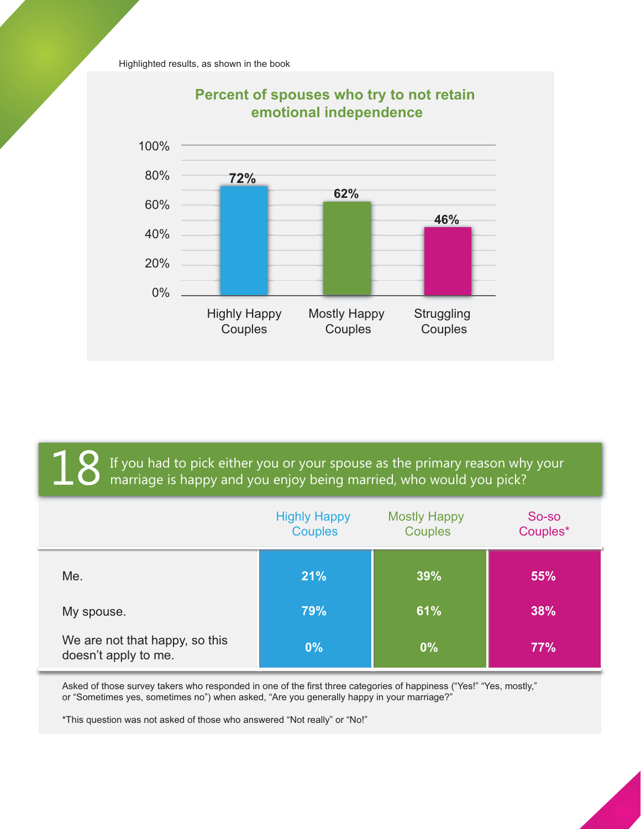Highlighted results, as shown in the book



### **Percent of spouses who try to not retain**

 $\mathbf 1\mathbf 8$  If you had to pick either you or your spouse as the primary reason why your marriage is happy and you enjoy being married, who would you pick?

|                                                        | <b>Highly Happy</b><br><b>Couples</b> | <b>Mostly Happy</b><br><b>Couples</b> | So-so<br>Couples* |
|--------------------------------------------------------|---------------------------------------|---------------------------------------|-------------------|
| Me.                                                    | 21%                                   | 39%                                   | 55%               |
| My spouse.                                             | 79%                                   | 61%                                   | 38%               |
| We are not that happy, so this<br>doesn't apply to me. | $0\%$                                 | 0%                                    | 77%               |

Asked of those survey takers who responded in one of the first three categories of happiness ("Yes!" "Yes, mostly," or "Sometimes yes, sometimes no") when asked, "Are you generally happy in your marriage?"

\*This question was not asked of those who answered "Not really" or "No!"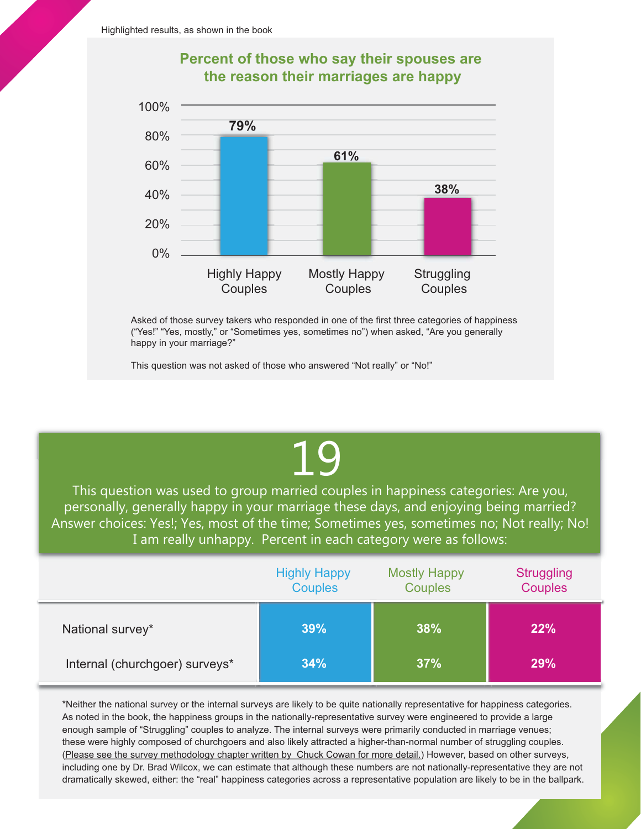



Asked of those survey takers who responded in one of the first three categories of happiness ("Yes!" "Yes, mostly," or "Sometimes yes, sometimes no") when asked, "Are you generally happy in your marriage?"

This question was not asked of those who answered "Not really" or "No!"

# 19

This question was used to group married couples in happiness categories: Are you, personally, generally happy in your marriage these days, and enjoying being married? Answer choices: Yes!; Yes, most of the time; Sometimes yes, sometimes no; Not really; No! I am really unhappy. Percent in each category were as follows:

|                                | <b>Highly Happy</b><br><b>Couples</b> | <b>Mostly Happy</b><br><b>Couples</b> | <b>Struggling</b><br><b>Couples</b> |
|--------------------------------|---------------------------------------|---------------------------------------|-------------------------------------|
| National survey*               | 39%                                   | 38%                                   | 22%                                 |
| Internal (churchgoer) surveys* | 34%                                   | 37%                                   | 29%                                 |

\*Neither the national survey or the internal surveys are likely to be quite nationally representative for happiness categories. As noted in the book, the happiness groups in the nationally-representative survey were engineered to provide a large enough sample of "Struggling" couples to analyze. The internal surveys were primarily conducted in marriage venues; these were highly composed of churchgoers and also likely attracted a higher-than-normal number of struggling couples. [\(Please see the survey methodology chapter written by Chuck Cowan for more detail.\)](http://www.shaunti.com/wp-content/uploads/2014/02/Chuck-Cowan-Chapter-for-Surprising-Secrets.pdf) However, based on other surveys, including one by Dr. Brad Wilcox, we can estimate that although these numbers are not nationally-representative they are not dramatically skewed, either: the "real" happiness categories across a representative population are likely to be in the ballpark.